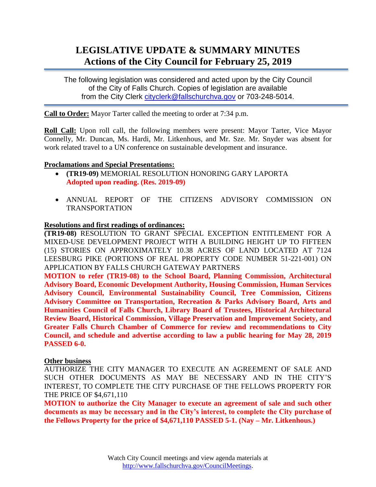# **LEGISLATIVE UPDATE & SUMMARY MINUTES Actions of the City Council for February 25, 2019**

The following legislation was considered and acted upon by the City Council of the City of Falls Church. Copies of legislation are available from the City Clerk [cityclerk@fallschurchva.gov](mailto:cityclerk@fallschurchva.gov) or 703-248-5014.

**Call to Order:** Mayor Tarter called the meeting to order at 7:34 p.m.

**Roll Call:** Upon roll call, the following members were present: Mayor Tarter, Vice Mayor Connelly, Mr. Duncan, Ms. Hardi, Mr. Litkenhous, and Mr. Sze. Mr. Snyder was absent for work related travel to a UN conference on sustainable development and insurance.

## **Proclamations and Special Presentations:**

- **(TR19-09)** MEMORIAL RESOLUTION HONORING GARY LAPORTA **Adopted upon reading. (Res. 2019-09)**
- ANNUAL REPORT OF THE CITIZENS ADVISORY COMMISSION ON TRANSPORTATION

## **Resolutions and first readings of ordinances:**

**(TR19-08)** RESOLUTION TO GRANT SPECIAL EXCEPTION ENTITLEMENT FOR A MIXED-USE DEVELOPMENT PROJECT WITH A BUILDING HEIGHT UP TO FIFTEEN (15) STORIES ON APPROXIMATELY 10.38 ACRES OF LAND LOCATED AT 7124 LEESBURG PIKE (PORTIONS OF REAL PROPERTY CODE NUMBER 51-221-001) ON APPLICATION BY FALLS CHURCH GATEWAY PARTNERS

**MOTION to refer (TR19-08) to the School Board, Planning Commission, Architectural Advisory Board, Economic Development Authority, Housing Commission, Human Services Advisory Council, Environmental Sustainability Council, Tree Commission, Citizens Advisory Committee on Transportation, Recreation & Parks Advisory Board, Arts and Humanities Council of Falls Church, Library Board of Trustees, Historical Architectural Review Board, Historical Commission, Village Preservation and Improvement Society, and Greater Falls Church Chamber of Commerce for review and recommendations to City Council, and schedule and advertise according to law a public hearing for May 28, 2019 PASSED 6-0.**

#### **Other business**

AUTHORIZE THE CITY MANAGER TO EXECUTE AN AGREEMENT OF SALE AND SUCH OTHER DOCUMENTS AS MAY BE NECESSARY AND IN THE CITY'S INTEREST, TO COMPLETE THE CITY PURCHASE OF THE FELLOWS PROPERTY FOR THE PRICE OF \$4,671,110

**MOTION to authorize the City Manager to execute an agreement of sale and such other documents as may be necessary and in the City's interest, to complete the City purchase of the Fellows Property for the price of \$4,671,110 PASSED 5-1. (Nay – Mr. Litkenhous.)**